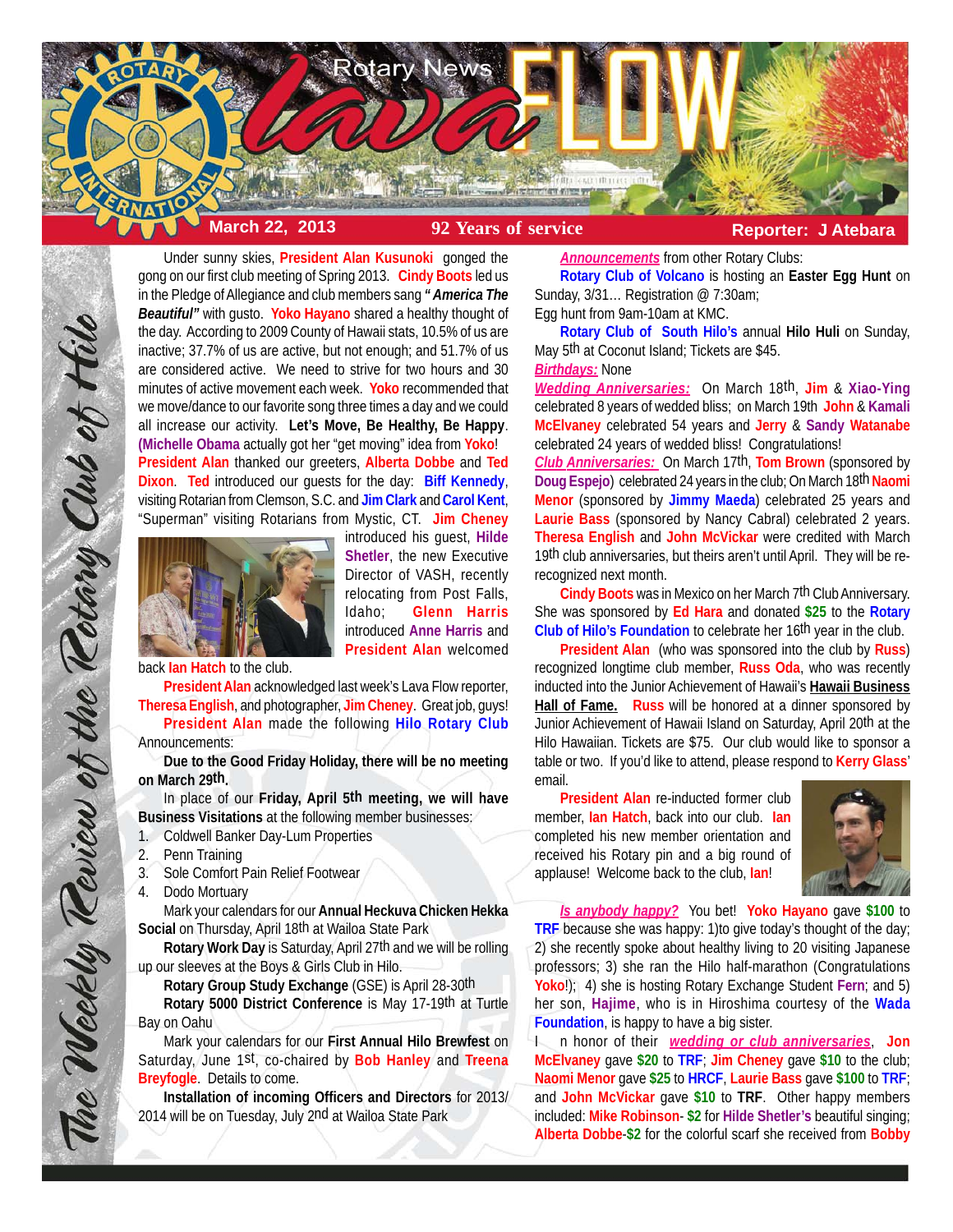

Under sunny skies, **President Alan Kusunoki** gonged the gong on our first club meeting of Spring 2013. **Cindy Boots** led us in the Pledge of Allegiance and club members sang *" America The Beautiful"* with gusto. **Yoko Hayano** shared a healthy thought of the day. According to 2009 County of Hawaii stats, 10.5% of us are inactive; 37.7% of us are active, but not enough; and 51.7% of us are considered active. We need to strive for two hours and 30 minutes of active movement each week. **Yoko** recommended that we move/dance to our favorite song three times a day and we could all increase our activity. **Let's Move, Be Healthy, Be Happy**. **(Michelle Obama** actually got her "get moving" idea from **Yoko**! **President Alan** thanked our greeters, **Alberta Dobbe** and **Ted Dixon**. **Ted** introduced our guests for the day: **Biff Kennedy**, visiting Rotarian from Clemson, S.C. and **Jim Clark** and **Carol Kent**, "Superman" visiting Rotarians from Mystic, CT. **Jim Cheney**



introduced his guest, **Hilde Shetler**, the new Executive Director of VASH, recently relocating from Post Falls, Idaho; **Glenn Harris** introduced **Anne Harris** and **President Alan** welcomed

back **Ian Hatch** to the club.

**President Alan** acknowledged last week's Lava Flow reporter, **Theresa English**, and photographer, **Jim Cheney**. Great job, guys! **President Alan** made the following **Hilo Rotary Club** Announcements:

**Due to the Good Friday Holiday, there will be no meeting on March 29th.**

In place of our **Friday, April 5th meeting, we will have Business Visitations** at the following member businesses:

- 1. Coldwell Banker Day-Lum Properties
- 2. Penn Training

The Weekly Teview of the Tetary Club of Hilo

- 3. Sole Comfort Pain Relief Footwear
- 4. Dodo Mortuary

Mark your calendars for our **Annual Heckuva Chicken Hekka Social** on Thursday, April 18th at Wailoa State Park

**Rotary Work Day** is Saturday, April 27th and we will be rolling up our sleeves at the Boys & Girls Club in Hilo.

**Rotary Group Study Exchange** (GSE) is April 28-30th **Rotary 5000 District Conference** is May 17-19th at Turtle Bay on Oahu

Mark your calendars for our **First Annual Hilo Brewfest** on Saturday, June 1st, co-chaired by **Bob Hanley** and **Treena Breyfogle**. Details to come.

**Installation of incoming Officers and Directors** for 2013/ 2014 will be on Tuesday, July 2nd at Wailoa State Park

*Announcements* from other Rotary Clubs:

**Rotary Club of Volcano** is hosting an **Easter Egg Hunt** on Sunday, 3/31… Registration @ 7:30am;

Egg hunt from 9am-10am at KMC.

**Rotary Club of South Hilo's** annual **Hilo Huli** on Sunday, May 5th at Coconut Island; Tickets are \$45.

#### *Birthdays:* None

*Wedding Anniversaries:* On March 18th, **Jim** & **Xiao-Ying** celebrated 8 years of wedded bliss; on March 19th **John** & **Kamali McElvaney** celebrated 54 years and **Jerry** & **Sandy Watanabe** celebrated 24 years of wedded bliss! Congratulations!

*Club Anniversaries:* On March 17th, **Tom Brown** (sponsored by **Doug Espejo**) celebrated 24 years in the club; On March 18th Naomi **Menor** (sponsored by **Jimmy Maeda**) celebrated 25 years and **Laurie Bass** (sponsored by Nancy Cabral) celebrated 2 years. **Theresa English** and **John McVickar** were credited with March 19th club anniversaries, but theirs aren't until April. They will be rerecognized next month.

**Cindy Boots** was in Mexico on her March 7th Club Anniversary. She was sponsored by **Ed Hara** and donated **\$25** to the **Rotary Club of Hilo's Foundation** to celebrate her 16th year in the club.

**President Alan** (who was sponsored into the club by **Russ**) recognized longtime club member, **Russ Oda**, who was recently inducted into the Junior Achievement of Hawaii's **Hawaii Business Hall of Fame. Russ** will be honored at a dinner sponsored by Junior Achievement of Hawaii Island on Saturday, April 20th at the Hilo Hawaiian. Tickets are \$75. Our club would like to sponsor a table or two. If you'd like to attend, please respond to **Kerry Glass**' email.

**President Alan** re-inducted former club member, **Ian Hatch**, back into our club. **Ian** completed his new member orientation and received his Rotary pin and a big round of applause! Welcome back to the club, **Ian**!



*Is anybody happy?* You bet! **Yoko Hayano** gave **\$100** to **TRF** because she was happy: 1)to give today's thought of the day; 2) she recently spoke about healthy living to 20 visiting Japanese professors; 3) she ran the Hilo half-marathon (Congratulations **Yoko**!); 4) she is hosting Rotary Exchange Student **Fern**; and 5) her son, **Hajime**, who is in Hiroshima courtesy of the **Wada Foundation**, is happy to have a big sister.

I n honor of their *wedding or club anniversaries*, **Jon McElvaney** gave **\$20** to **TRF**; **Jim Cheney** gave **\$10** to the club; **Naomi Menor** gave **\$25** to **HRCF**, **Laurie Bass** gave **\$100** to **TRF**; and **John McVickar** gave **\$10** to **TRF**. Other happy members included: **Mike Robinson**- **\$2** for **Hilde Shetler's** beautiful singing; **Alberta Dobbe**-**\$2** for the colorful scarf she received from **Bobby**